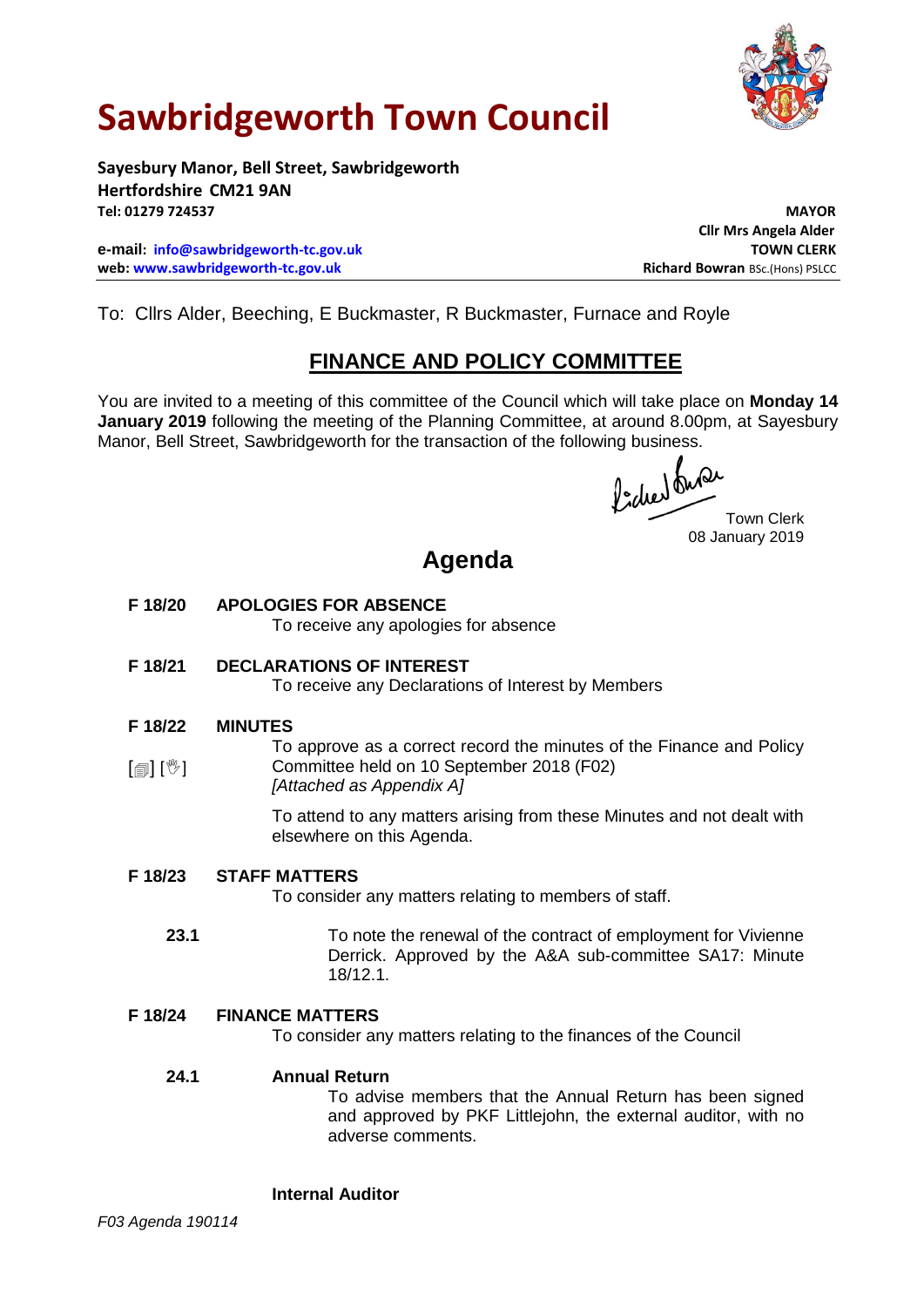

# **Sawbridgeworth Town Council**

**Sayesbury Manor, Bell Street, Sawbridgeworth Hertfordshire CM21 9AN Tel: 01279 724537 MAYOR**

**e-mail: [info@sawbridgeworth-tc.gov.uk](mailto:info@sawbridgeworth-tc.gov.uk) TOWN CLERK web: www.sawbridgeworth-tc.gov.uk Richard Bowran BSc.(Hons) PSLCC Richard Bowran BSc.(Hons) PSLCC** 

**Cllr Mrs Angela Alder**

To: Cllrs Alder, Beeching, E Buckmaster, R Buckmaster, Furnace and Royle

## **FINANCE AND POLICY COMMITTEE**

You are invited to a meeting of this committee of the Council which will take place on **Monday 14 January 2019** following the meeting of the Planning Committee, at around 8.00pm, at Sayesbury Manor, Bell Street, Sawbridgeworth for the transaction of the following business.

fided onder<br>Town Clerk

08 January 2019

## **Agenda**

**F 18/20 APOLOGIES FOR ABSENCE**

To receive any apologies for absence

## **F 18/21 DECLARATIONS OF INTEREST**

To receive any Declarations of Interest by Members

#### **F 18/22 MINUTES**

 $\lceil$   $\blacksquare$   $\rceil$   $\lceil$   $\mathbb{V}$   $\rceil$ To approve as a correct record the minutes of the Finance and Policy Committee held on 10 September 2018 (F02) *[Attached as Appendix A]*

> To attend to any matters arising from these Minutes and not dealt with elsewhere on this Agenda.

#### **F 18/23 STAFF MATTERS**

To consider any matters relating to members of staff.

 **23.1** To note the renewal of the contract of employment for Vivienne Derrick. Approved by the A&A sub-committee SA17: Minute 18/12.1.

#### **F 18/24 FINANCE MATTERS**

To consider any matters relating to the finances of the Council

#### **24.1 Annual Return**

To advise members that the Annual Return has been signed and approved by PKF Littlejohn, the external auditor, with no adverse comments.

## **Internal Auditor**